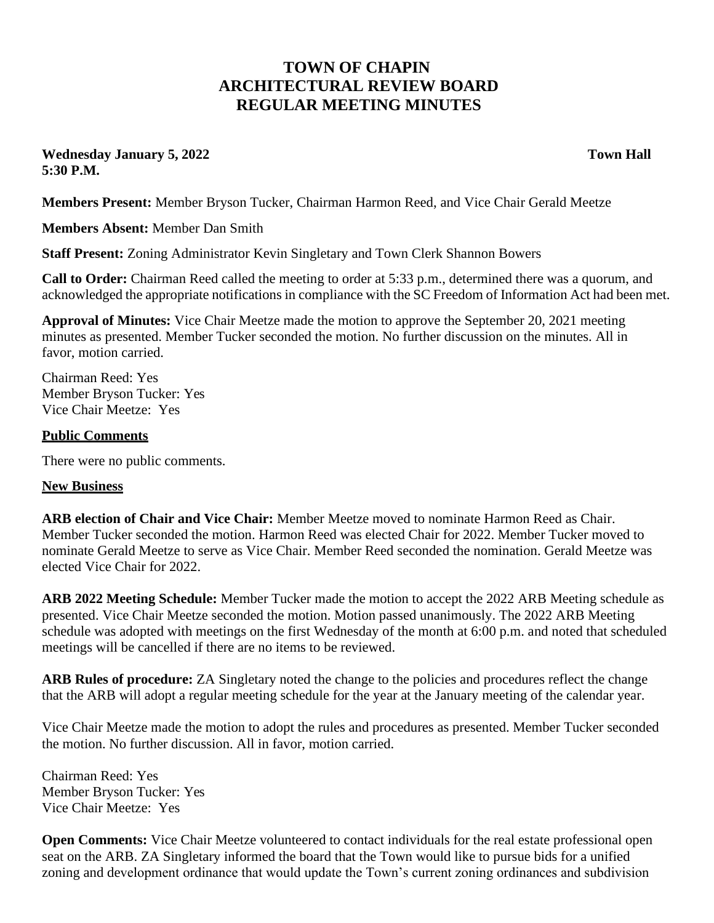## **TOWN OF CHAPIN ARCHITECTURAL REVIEW BOARD REGULAR MEETING MINUTES**

**Wednesday January 5, 2022 Town Hall 5:30 P.M.**

**Members Present:** Member Bryson Tucker, Chairman Harmon Reed, and Vice Chair Gerald Meetze

**Members Absent:** Member Dan Smith

**Staff Present:** Zoning Administrator Kevin Singletary and Town Clerk Shannon Bowers

**Call to Order:** Chairman Reed called the meeting to order at 5:33 p.m., determined there was a quorum, and acknowledged the appropriate notifications in compliance with the SC Freedom of Information Act had been met.

**Approval of Minutes:** Vice Chair Meetze made the motion to approve the September 20, 2021 meeting minutes as presented. Member Tucker seconded the motion. No further discussion on the minutes. All in favor, motion carried.

Chairman Reed: Yes Member Bryson Tucker: Yes Vice Chair Meetze: Yes

## **Public Comments**

There were no public comments.

## **New Business**

**ARB election of Chair and Vice Chair:** Member Meetze moved to nominate Harmon Reed as Chair. Member Tucker seconded the motion. Harmon Reed was elected Chair for 2022. Member Tucker moved to nominate Gerald Meetze to serve as Vice Chair. Member Reed seconded the nomination. Gerald Meetze was elected Vice Chair for 2022.

**ARB 2022 Meeting Schedule:** Member Tucker made the motion to accept the 2022 ARB Meeting schedule as presented. Vice Chair Meetze seconded the motion. Motion passed unanimously. The 2022 ARB Meeting schedule was adopted with meetings on the first Wednesday of the month at 6:00 p.m. and noted that scheduled meetings will be cancelled if there are no items to be reviewed.

**ARB Rules of procedure:** ZA Singletary noted the change to the policies and procedures reflect the change that the ARB will adopt a regular meeting schedule for the year at the January meeting of the calendar year.

Vice Chair Meetze made the motion to adopt the rules and procedures as presented. Member Tucker seconded the motion. No further discussion. All in favor, motion carried.

Chairman Reed: Yes Member Bryson Tucker: Yes Vice Chair Meetze: Yes

**Open Comments:** Vice Chair Meetze volunteered to contact individuals for the real estate professional open seat on the ARB. ZA Singletary informed the board that the Town would like to pursue bids for a unified zoning and development ordinance that would update the Town's current zoning ordinances and subdivision